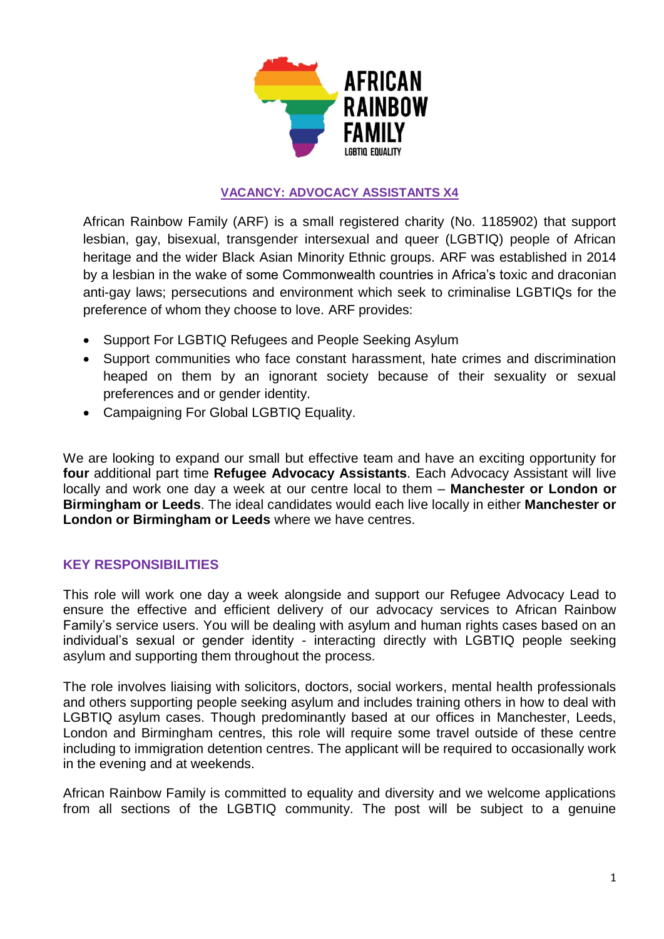

# **VACANCY: ADVOCACY ASSISTANTS X4**

African Rainbow Family (ARF) is a small registered charity (No. 1185902) that support lesbian, gay, bisexual, transgender intersexual and queer (LGBTIQ) people of African heritage and the wider Black Asian Minority Ethnic groups. ARF was established in 2014 by a lesbian in the wake of some Commonwealth countries in Africa's toxic and draconian anti-gay laws; persecutions and environment which seek to criminalise LGBTIQs for the preference of whom they choose to love. ARF provides:

- Support For LGBTIQ Refugees and People Seeking Asylum
- Support communities who face constant harassment, hate crimes and discrimination heaped on them by an ignorant society because of their sexuality or sexual preferences and or gender identity.
- Campaigning For Global LGBTIQ Equality.

We are looking to expand our small but effective team and have an exciting opportunity for **four** additional part time **Refugee Advocacy Assistants**. Each Advocacy Assistant will live locally and work one day a week at our centre local to them – **Manchester or London or Birmingham or Leeds**. The ideal candidates would each live locally in either **Manchester or London or Birmingham or Leeds** where we have centres.

# **KEY RESPONSIBILITIES**

This role will work one day a week alongside and support our Refugee Advocacy Lead to ensure the effective and efficient delivery of our advocacy services to African Rainbow Family's service users. You will be dealing with asylum and human rights cases based on an individual's sexual or gender identity - interacting directly with LGBTIQ people seeking asylum and supporting them throughout the process.

The role involves liaising with solicitors, doctors, social workers, mental health professionals and others supporting people seeking asylum and includes training others in how to deal with LGBTIQ asylum cases. Though predominantly based at our offices in Manchester, Leeds, London and Birmingham centres, this role will require some travel outside of these centre including to immigration detention centres. The applicant will be required to occasionally work in the evening and at weekends.

African Rainbow Family is committed to equality and diversity and we welcome applications from all sections of the LGBTIQ community. The post will be subject to a genuine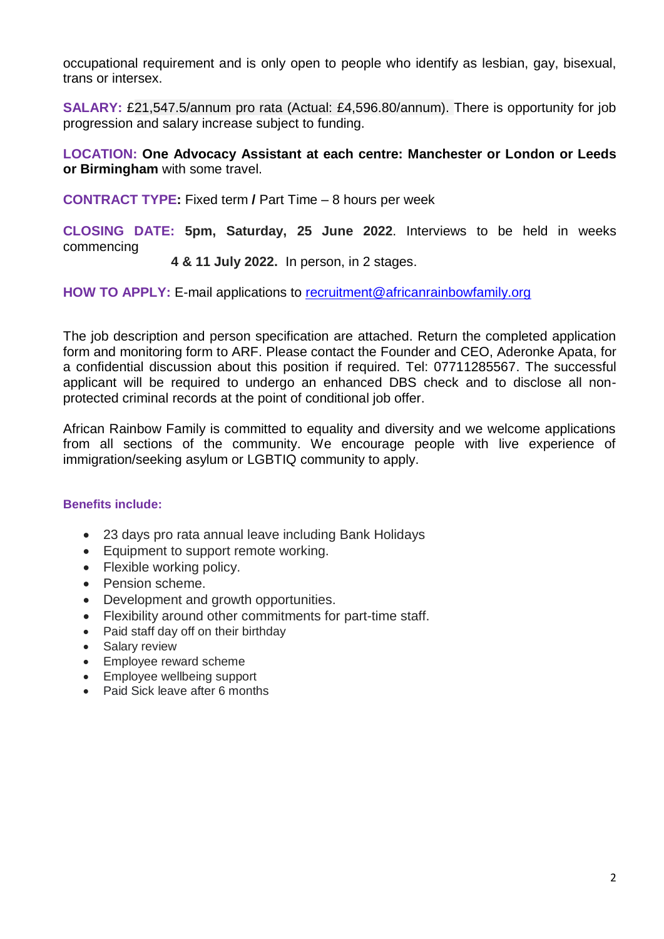occupational requirement and is only open to people who identify as lesbian, gay, bisexual, trans or intersex.

**SALARY:** £21,547.5/annum pro rata (Actual: £4,596.80/annum). There is opportunity for job progression and salary increase subject to funding.

**LOCATION: One Advocacy Assistant at each centre: Manchester or London or Leeds or Birmingham** with some travel.

**CONTRACT TYPE:** Fixed term **/** Part Time – 8 hours per week

**CLOSING DATE: 5pm, Saturday, 25 June 2022**. Interviews to be held in weeks commencing

## **4 & 11 July 2022.** In person, in 2 stages.

**HOW TO APPLY:** E-mail applications to [recruitment@africanrainbowfamily.org](mailto:recruitment@africanrainbowfamily.org)

The job description and person specification are attached. Return the completed application form and monitoring form to ARF. Please contact the Founder and CEO, Aderonke Apata, for a confidential discussion about this position if required. Tel: 07711285567. The successful applicant will be required to undergo an enhanced DBS check and to disclose all nonprotected criminal records at the point of conditional job offer.

African Rainbow Family is committed to equality and diversity and we welcome applications from all sections of the community. We encourage people with live experience of immigration/seeking asylum or LGBTIQ community to apply.

### **Benefits include:**

- 23 days pro rata annual leave including Bank Holidays
- Equipment to support remote working.
- Flexible working policy.
- Pension scheme.
- Development and growth opportunities.
- Flexibility around other commitments for part-time staff.
- Paid staff day off on their birthday
- Salary review
- Employee reward scheme
- Employee wellbeing support
- Paid Sick leave after 6 months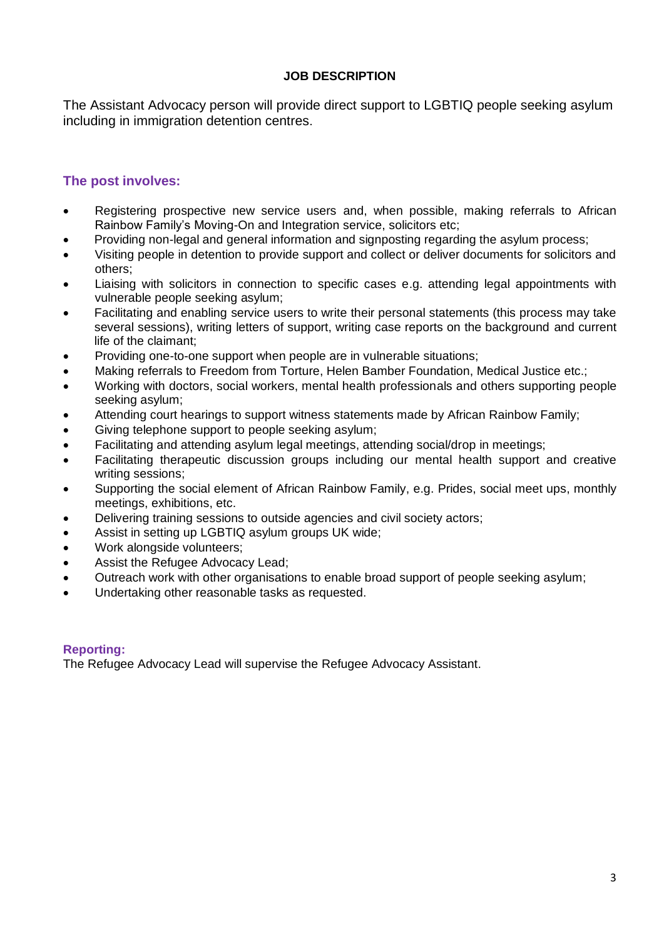## **JOB DESCRIPTION**

The Assistant Advocacy person will provide direct support to LGBTIQ people seeking asylum including in immigration detention centres.

# **The post involves:**

- Registering prospective new service users and, when possible, making referrals to African Rainbow Family's Moving-On and Integration service, solicitors etc;
- Providing non-legal and general information and signposting regarding the asylum process;
- Visiting people in detention to provide support and collect or deliver documents for solicitors and others;
- Liaising with solicitors in connection to specific cases e.g. attending legal appointments with vulnerable people seeking asylum;
- Facilitating and enabling service users to write their personal statements (this process may take several sessions), writing letters of support, writing case reports on the background and current life of the claimant;
- Providing one-to-one support when people are in vulnerable situations;
- Making referrals to Freedom from Torture, Helen Bamber Foundation, Medical Justice etc.;
- Working with doctors, social workers, mental health professionals and others supporting people seeking asylum;
- Attending court hearings to support witness statements made by African Rainbow Family;
- Giving telephone support to people seeking asylum;
- Facilitating and attending asylum legal meetings, attending social/drop in meetings;
- Facilitating therapeutic discussion groups including our mental health support and creative writing sessions;
- Supporting the social element of African Rainbow Family, e.g. Prides, social meet ups, monthly meetings, exhibitions, etc.
- Delivering training sessions to outside agencies and civil society actors;
- Assist in setting up LGBTIQ asylum groups UK wide;
- Work alongside volunteers;
- Assist the Refugee Advocacy Lead;
- Outreach work with other organisations to enable broad support of people seeking asylum;
- Undertaking other reasonable tasks as requested.

#### **Reporting:**

The Refugee Advocacy Lead will supervise the Refugee Advocacy Assistant.